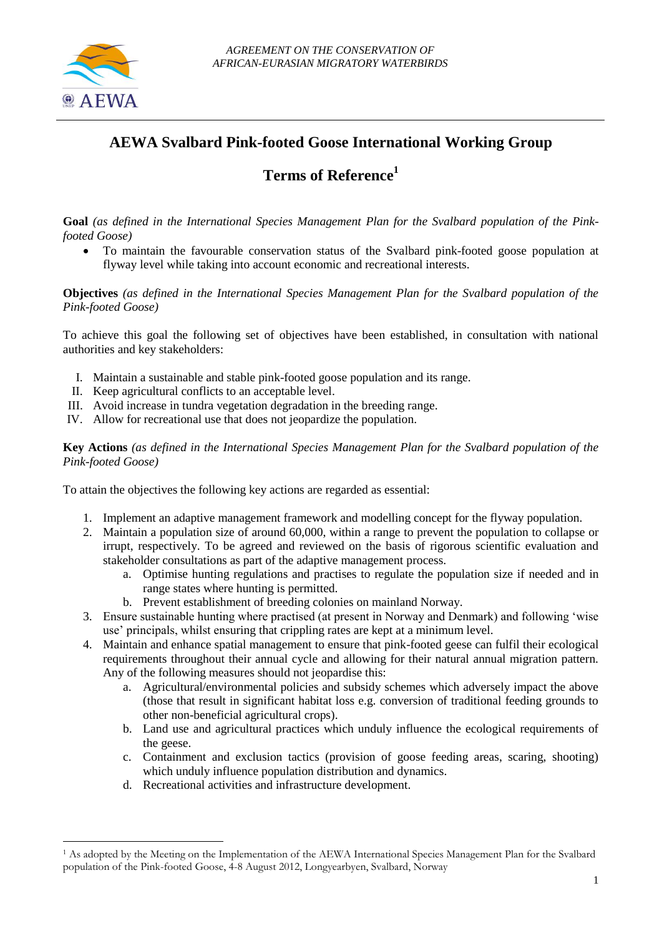<u>.</u>

## **AEWA Svalbard Pink-footed Goose International Working Group**

# **Terms of Reference<sup>1</sup>**

**Goal** *(as defined in the International Species Management Plan for the Svalbard population of the Pinkfooted Goose)*

 To maintain the favourable conservation status of the Svalbard pink-footed goose population at flyway level while taking into account economic and recreational interests.

**Objectives** *(as defined in the International Species Management Plan for the Svalbard population of the Pink-footed Goose)*

To achieve this goal the following set of objectives have been established, in consultation with national authorities and key stakeholders:

- I. Maintain a sustainable and stable pink-footed goose population and its range.
- II. Keep agricultural conflicts to an acceptable level.
- III. Avoid increase in tundra vegetation degradation in the breeding range.
- IV. Allow for recreational use that does not jeopardize the population.

**Key Actions** *(as defined in the International Species Management Plan for the Svalbard population of the Pink-footed Goose)*

To attain the objectives the following key actions are regarded as essential:

- 1. Implement an adaptive management framework and modelling concept for the flyway population.
- 2. Maintain a population size of around 60,000, within a range to prevent the population to collapse or irrupt, respectively. To be agreed and reviewed on the basis of rigorous scientific evaluation and stakeholder consultations as part of the adaptive management process.
	- a. Optimise hunting regulations and practises to regulate the population size if needed and in range states where hunting is permitted.
	- b. Prevent establishment of breeding colonies on mainland Norway.
- 3. Ensure sustainable hunting where practised (at present in Norway and Denmark) and following 'wise use' principals, whilst ensuring that crippling rates are kept at a minimum level.
- 4. Maintain and enhance spatial management to ensure that pink-footed geese can fulfil their ecological requirements throughout their annual cycle and allowing for their natural annual migration pattern. Any of the following measures should not jeopardise this:
	- a. Agricultural/environmental policies and subsidy schemes which adversely impact the above (those that result in significant habitat loss e.g. conversion of traditional feeding grounds to other non-beneficial agricultural crops).
	- b. Land use and agricultural practices which unduly influence the ecological requirements of the geese.
	- c. Containment and exclusion tactics (provision of goose feeding areas, scaring, shooting) which unduly influence population distribution and dynamics.
	- d. Recreational activities and infrastructure development.

<sup>&</sup>lt;sup>1</sup> As adopted by the Meeting on the Implementation of the AEWA International Species Management Plan for the Svalbard population of the Pink-footed Goose, 4-8 August 2012, Longyearbyen, Svalbard, Norway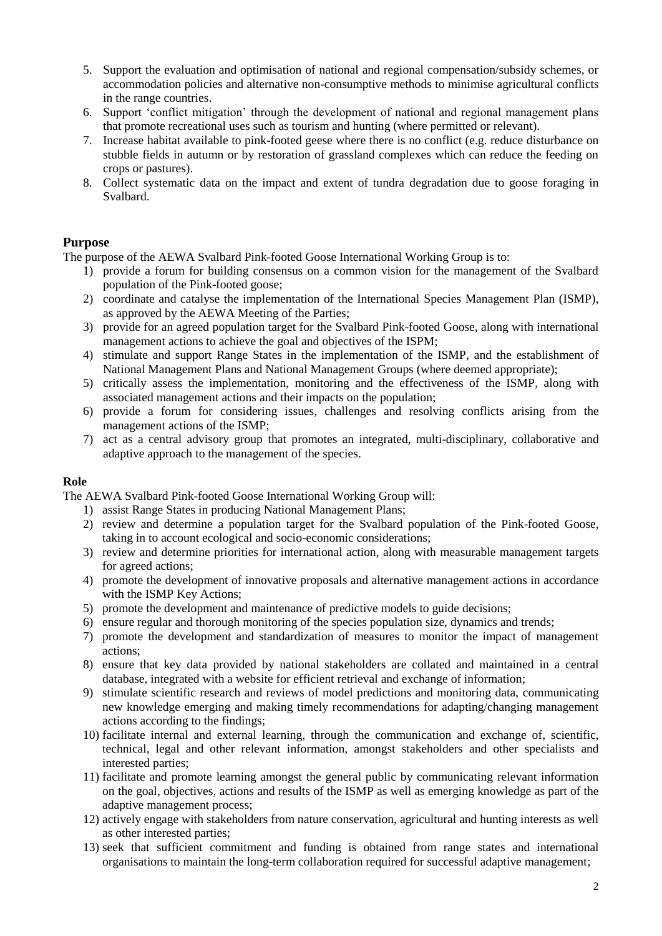- 5. Support the evaluation and optimisation of national and regional compensation/subsidy schemes, or accommodation policies and alternative non-consumptive methods to minimise agricultural conflicts in the range countries.
- 6. Support 'conflict mitigation' through the development of national and regional management plans that promote recreational uses such as tourism and hunting (where permitted or relevant).
- 7. Increase habitat available to pink-footed geese where there is no conflict (e.g. reduce disturbance on stubble fields in autumn or by restoration of grassland complexes which can reduce the feeding on crops or pastures).
- 8. Collect systematic data on the impact and extent of tundra degradation due to goose foraging in Svalbard.

### **Purpose**

The purpose of the AEWA Svalbard Pink-footed Goose International Working Group is to:

- 1) provide a forum for building consensus on a common vision for the management of the Svalbard population of the Pink-footed goose;
- 2) coordinate and catalyse the implementation of the International Species Management Plan (ISMP), as approved by the AEWA Meeting of the Parties;
- 3) provide for an agreed population target for the Svalbard Pink-footed Goose, along with international management actions to achieve the goal and objectives of the ISPM;
- 4) stimulate and support Range States in the implementation of the ISMP, and the establishment of National Management Plans and National Management Groups (where deemed appropriate);
- 5) critically assess the implementation, monitoring and the effectiveness of the ISMP, along with associated management actions and their impacts on the population;
- 6) provide a forum for considering issues, challenges and resolving conflicts arising from the management actions of the ISMP;
- 7) act as a central advisory group that promotes an integrated, multi-disciplinary, collaborative and adaptive approach to the management of the species.

#### **Role**

The AEWA Svalbard Pink-footed Goose International Working Group will:

- 1) assist Range States in producing National Management Plans;
- 2) review and determine a population target for the Svalbard population of the Pink-footed Goose, taking in to account ecological and socio-economic considerations;
- 3) review and determine priorities for international action, along with measurable management targets for agreed actions;
- 4) promote the development of innovative proposals and alternative management actions in accordance with the ISMP Key Actions;
- 5) promote the development and maintenance of predictive models to guide decisions;
- 6) ensure regular and thorough monitoring of the species population size, dynamics and trends;
- 7) promote the development and standardization of measures to monitor the impact of management actions;
- 8) ensure that key data provided by national stakeholders are collated and maintained in a central database, integrated with a website for efficient retrieval and exchange of information;
- 9) stimulate scientific research and reviews of model predictions and monitoring data, communicating new knowledge emerging and making timely recommendations for adapting/changing management actions according to the findings;
- 10) facilitate internal and external learning, through the communication and exchange of, scientific, technical, legal and other relevant information, amongst stakeholders and other specialists and interested parties;
- 11) facilitate and promote learning amongst the general public by communicating relevant information on the goal, objectives, actions and results of the ISMP as well as emerging knowledge as part of the adaptive management process;
- 12) actively engage with stakeholders from nature conservation, agricultural and hunting interests as well as other interested parties;
- 13) seek that sufficient commitment and funding is obtained from range states and international organisations to maintain the long-term collaboration required for successful adaptive management;